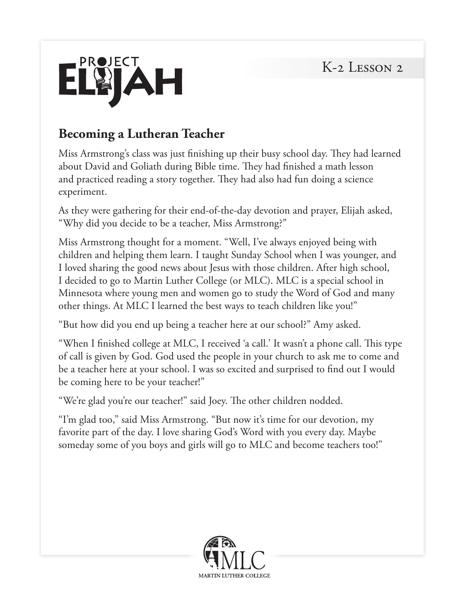

### **Becoming a Lutheran Teacher**

Miss Armstrong's class was just finishing up their busy school day. They had learned about David and Goliath during Bible time. They had finished a math lesson and practiced reading a story together. They had also had fun doing a science experiment.

As they were gathering for their end-of-the-day devotion and prayer, Elijah asked, "Why did you decide to be a teacher, Miss Armstrong?"

Miss Armstrong thought for a moment. "Well, I've always enjoyed being with children and helping them learn. I taught Sunday School when I was younger, and I loved sharing the good news about Jesus with those children. After high school, I decided to go to Martin Luther College (or MLC). MLC is a special school in Minnesota where young men and women go to study the Word of God and many other things. At MLC I learned the best ways to teach children like you!"

"But how did you end up being a teacher here at our school?" Amy asked.

"When I finished college at MLC, I received 'a call.' It wasn't a phone call. This type of call is given by God. God used the people in your church to ask me to come and be a teacher here at your school. I was so excited and surprised to find out I would be coming here to be your teacher!"

"We're glad you're our teacher!" said Joey. The other children nodded.

"I'm glad too," said Miss Armstrong. "But now it's time for our devotion, my favorite part of the day. I love sharing God's Word with you every day. Maybe someday some of you boys and girls will go to MLC and become teachers too!"